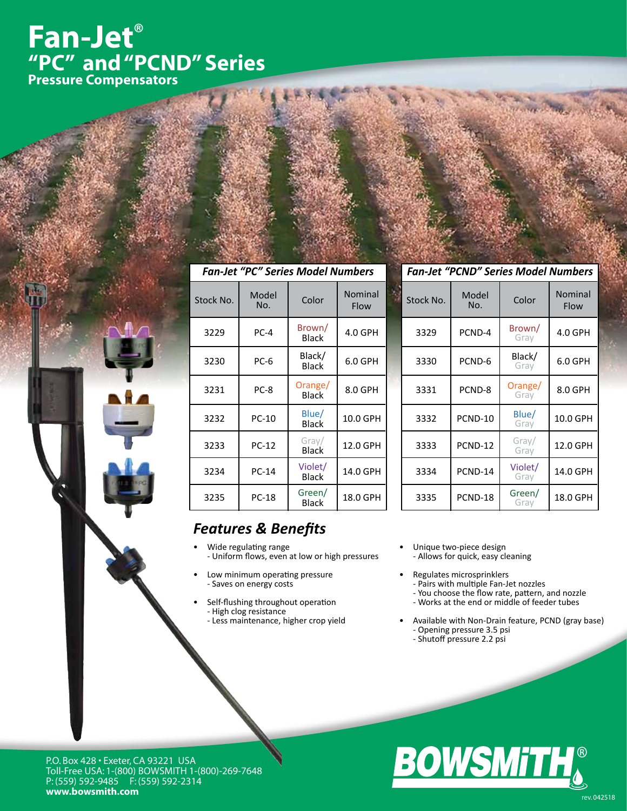# **Fan-Jet® "PC" and "PCND" Series Pressure Compensators**

| <b>Fan-Jet "PC" Series Model Numbers</b> |              |                         |                 |  |  |
|------------------------------------------|--------------|-------------------------|-----------------|--|--|
| Stock No.                                | Model<br>No. | Color                   | Nominal<br>Flow |  |  |
| 3229                                     | $PC-4$       | Brown/<br><b>Black</b>  | 4.0 GPH         |  |  |
| 3230                                     | PC-6         | Black/<br><b>Black</b>  | 6.0 GPH         |  |  |
| 3231                                     | PC-8         | Orange/<br><b>Black</b> | 8.0 GPH         |  |  |
| 3232                                     | PC-10        | Blue/<br><b>Black</b>   | 10.0 GPH        |  |  |
| 3233                                     | PC-12        | Gray/<br><b>Black</b>   | 12.0 GPH        |  |  |
| 3234                                     | PC-14        | Violet/<br><b>Black</b> | 14.0 GPH        |  |  |
| 3235                                     | <b>PC-18</b> | Green/<br><b>Black</b>  | 18.0 GPH        |  |  |

#### *Fan-Jet "PCND" Series Model Numbers*

| Stock No. | Model<br>No. | Color           | Nominal<br>Flow |
|-----------|--------------|-----------------|-----------------|
| 3329      | PCND-4       | Brown/<br>Grav  | 4.0 GPH         |
| 3330      | PCND-6       | Black/<br>Gray  | 6.0 GPH         |
| 3331      | PCND-8       | Orange/<br>Grav | 8.0 GPH         |
| 3332      | PCND-10      | Blue/<br>Grav   | 10.0 GPH        |
| 3333      | PCND-12      | Gray/<br>Gray   | 12.0 GPH        |
| 3334      | PCND-14      | Violet/<br>Gray | 14.0 GPH        |
| 3335      | PCND-18      | Green/<br>Grav  | 18.0 GPH        |

### *Features & Benefits*

- • Wide regulating range - Uniform flows, even at low or high pressures
- Low minimum operating pressure - Saves on energy costs
- Self-flushing throughout operation - High clog resistance - Less maintenance, higher crop yield
- Unique two-piece design - Allows for quick, easy cleaning
- Regulates microsprinklers
- Pairs with multiple Fan-Jet nozzles
- You choose the flow rate, pattern, and nozzle
	- Works at the end or middle of feeder tubes
- Available with Non-Drain feature, PCND (gray base) - Opening pressure 3.5 psi
- Shutoff pressure 2.2 psi



P.O. Box 428 • Exeter, CA 93221 USA Toll-Free USA: 1-(800) BOWSMITH 1-(800)-269-7648 P: (559) 592-9485 F: (559) 592-2314 **www.bowsmith.com** rev.042518